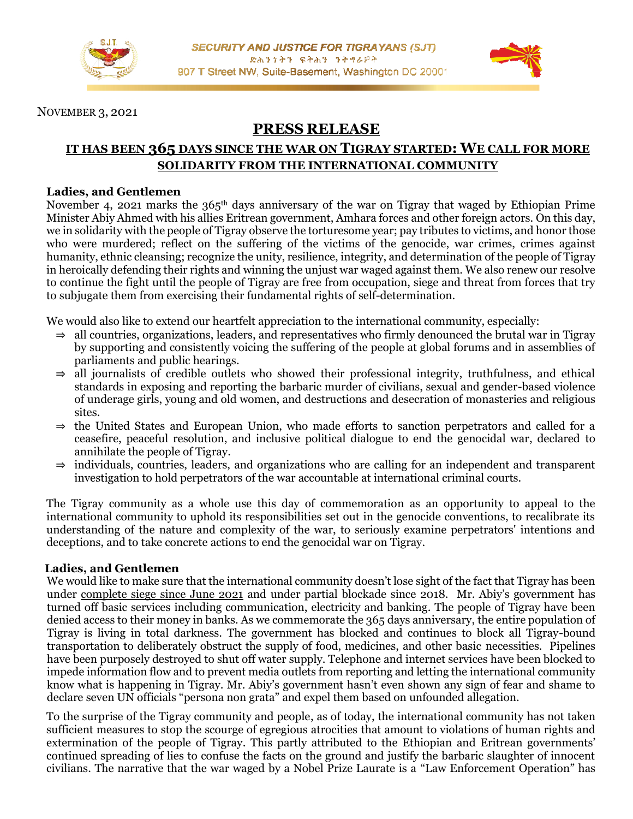

NOVEMBER 3, 2021

# **PRESS RELEASE**

# **IT HAS BEEN 365 DAYS SINCE THE WAR ON TIGRAY STARTED: WE CALL FOR MORE SOLIDARITY FROM THE INTERNATIONAL COMMUNITY**

#### **Ladies, and Gentlemen**

November 4, 2021 marks the 365<sup>th</sup> days anniversary of the war on Tigray that waged by Ethiopian Prime Minister Abiy Ahmed with his allies Eritrean government, Amhara forces and other foreign actors. On this day, we in solidarity with the people of Tigray observe the torturesome year; pay tributes to victims, and honor those who were murdered; reflect on the suffering of the victims of the genocide, war crimes, crimes against humanity, ethnic cleansing; recognize the unity, resilience, integrity, and determination of the people of Tigray in heroically defending their rights and winning the unjust war waged against them. We also renew our resolve to continue the fight until the people of Tigray are free from occupation, siege and threat from forces that try to subjugate them from exercising their fundamental rights of self-determination.

We would also like to extend our heartfelt appreciation to the international community, especially:

- $\Rightarrow$  all countries, organizations, leaders, and representatives who firmly denounced the brutal war in Tigray by supporting and consistently voicing the suffering of the people at global forums and in assemblies of parliaments and public hearings.
- $\Rightarrow$  all journalists of credible outlets who showed their professional integrity, truthfulness, and ethical standards in exposing and reporting the barbaric murder of civilians, sexual and gender-based violence of underage girls, young and old women, and destructions and desecration of monasteries and religious sites.
- ⇒ the United States and European Union, who made efforts to sanction perpetrators and called for a ceasefire, peaceful resolution, and inclusive political dialogue to end the genocidal war, declared to annihilate the people of Tigray.
- ⇒ individuals, countries, leaders, and organizations who are calling for an independent and transparent investigation to hold perpetrators of the war accountable at international criminal courts.

The Tigray community as a whole use this day of commemoration as an opportunity to appeal to the international community to uphold its responsibilities set out in the genocide conventions, to recalibrate its understanding of the nature and complexity of the war, to seriously examine perpetrators' intentions and deceptions, and to take concrete actions to end the genocidal war on Tigray.

#### **Ladies, and Gentlemen**

We would like to make sure that the international community doesn't lose sight of the fact that Tigray has been under complete siege since June 2021 and under partial blockade since 2018. Mr. Abiy's government has turned off basic services including communication, electricity and banking. The people of Tigray have been denied access to their money in banks. As we commemorate the 365 days anniversary, the entire population of Tigray is living in total darkness. The government has blocked and continues to block all Tigray-bound transportation to deliberately obstruct the supply of food, medicines, and other basic necessities. Pipelines have been purposely destroyed to shut off water supply. Telephone and internet services have been blocked to impede information flow and to prevent media outlets from reporting and letting the international community know what is happening in Tigray. Mr. Abiy's government hasn't even shown any sign of fear and shame to declare seven UN officials "persona non grata" and expel them based on unfounded allegation.

To the surprise of the Tigray community and people, as of today, the international community has not taken sufficient measures to stop the scourge of egregious atrocities that amount to violations of human rights and extermination of the people of Tigray. This partly attributed to the Ethiopian and Eritrean governments' continued spreading of lies to confuse the facts on the ground and justify the barbaric slaughter of innocent civilians. The narrative that the war waged by a Nobel Prize Laurate is a "Law Enforcement Operation" has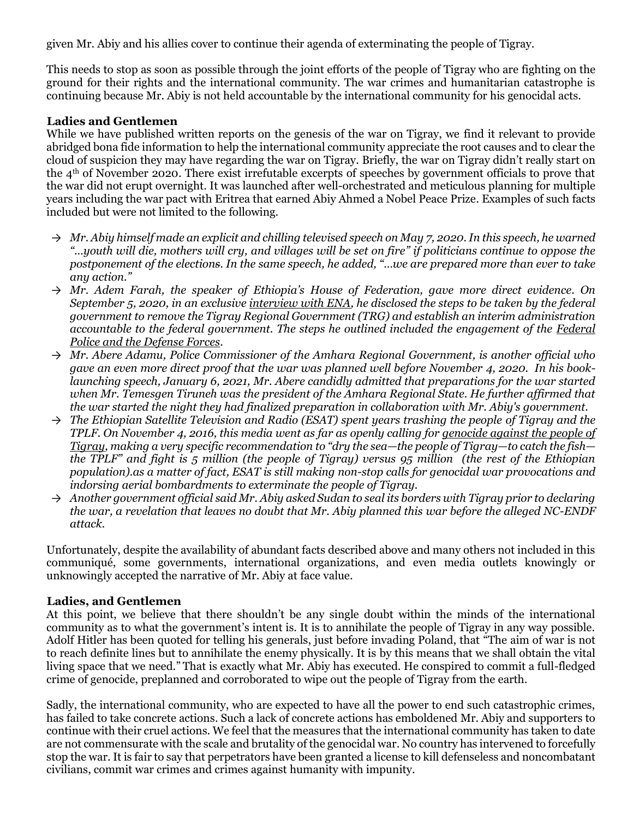given Mr. Abiy and his allies cover to continue their agenda of exterminating the people of Tigray.

This needs to stop as soon as possible through the joint efforts of the people of Tigray who are fighting on the ground for their rights and the international community. The war crimes and humanitarian catastrophe is continuing because Mr. Abiy is not held accountable by the international community for his genocidal acts.

#### **Ladies and Gentlemen**

While we have published written reports on the genesis of the war on Tigray, we find it relevant to provide abridged bona fide information to help the international community appreciate the root causes and to clear the cloud of suspicion they may have regarding the war on Tigray. Briefly, the war on Tigray didn't really start on the 4th of November 2020. There exist irrefutable excerpts of speeches by government officials to prove that the war did not erupt overnight. It was launched after well-orchestrated and meticulous planning for multiple years including the war pact with Eritrea that earned Abiy Ahmed a Nobel Peace Prize. Examples of such facts included but were not limited to the following.

- → *Mr. Abiy himself made an explicit and chilling televised speech on May 7, 2020. In this speech, he warned "…youth will die, mothers will cry, and villages will be set on fire" if politicians continue to oppose the postponement of the elections. In the same speech, he added, "…we are prepared more than ever to take any action."*
- → *Mr. Adem Farah, the speaker of Ethiopia's House of Federation, gave more direct evidence. On September 5, 2020, in an exclusive interview with ENA, he disclosed the steps to be taken by the federal government to remove the Tigray Regional Government (TRG) and establish an interim administration accountable to the federal government. The steps he outlined included the engagement of the Federal Police and the Defense Forces.*
- → *Mr. Abere Adamu, Police Commissioner of the Amhara Regional Government, is another official who gave an even more direct proof that the war was planned well before November 4, 2020. In his booklaunching speech, January 6, 2021, Mr. Abere candidly admitted that preparations for the war started when Mr. Temesgen Tiruneh was the president of the Amhara Regional State. He further affirmed that the war started the night they had finalized preparation in collaboration with Mr. Abiy's government.*
- → *The Ethiopian Satellite Television and Radio (ESAT) spent years trashing the people of Tigray and the TPLF. On November 4, 2016, this media went as far as openly calling for genocide against the people of Tigray, making a very specific recommendation to "dry the sea—the people of Tigray—to catch the fish the TPLF" and fight is 5 million (the people of Tigray) versus 95 million (the rest of the Ethiopian population).as a matter of fact, ESAT is still making non-stop calls for genocidal war provocations and indorsing aerial bombardments to exterminate the people of Tigray.*
- → *Another government official said Mr. Abiy asked Sudan to seal its borders with Tigray prior to declaring the war, a revelation that leaves no doubt that Mr. Abiy planned this war before the alleged NC-ENDF attack.*

Unfortunately, despite the availability of abundant facts described above and many others not included in this communiqué, some governments, international organizations, and even media outlets knowingly or unknowingly accepted the narrative of Mr. Abiy at face value.

#### **Ladies, and Gentlemen**

At this point, we believe that there shouldn't be any single doubt within the minds of the international community as to what the government's intent is. It is to annihilate the people of Tigray in any way possible. Adolf Hitler has been quoted for telling his generals, just before invading Poland, that "The aim of war is not to reach definite lines but to annihilate the enemy physically. It is by this means that we shall obtain the vital living space that we need." That is exactly what Mr. Abiy has executed. He conspired to commit a full-fledged crime of genocide, preplanned and corroborated to wipe out the people of Tigray from the earth.

Sadly, the international community, who are expected to have all the power to end such catastrophic crimes, has failed to take concrete actions. Such a lack of concrete actions has emboldened Mr. Abiy and supporters to continue with their cruel actions. We feel that the measures that the international community has taken to date are not commensurate with the scale and brutality of the genocidal war. No country has intervened to forcefully stop the war. It is fair to say that perpetrators have been granted a license to kill defenseless and noncombatant civilians, commit war crimes and crimes against humanity with impunity.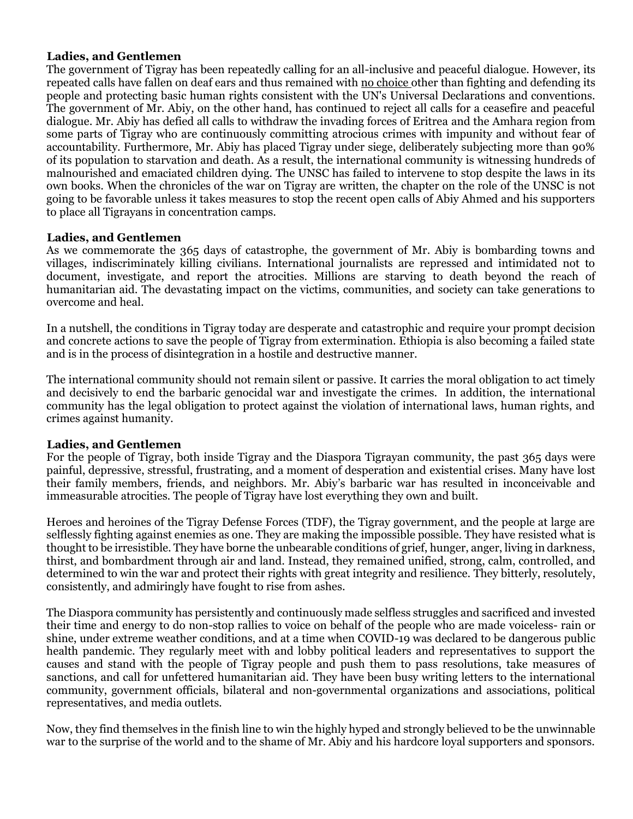#### **Ladies, and Gentlemen**

The government of Tigray has been repeatedly calling for an all-inclusive and peaceful dialogue. However, its repeated calls have fallen on deaf ears and thus remained with no choice other than fighting and defending its people and protecting basic human rights consistent with the UN's Universal Declarations and conventions. The government of Mr. Abiy, on the other hand, has continued to reject all calls for a ceasefire and peaceful dialogue. Mr. Abiy has defied all calls to withdraw the invading forces of Eritrea and the Amhara region from some parts of Tigray who are continuously committing atrocious crimes with impunity and without fear of accountability. Furthermore, Mr. Abiy has placed Tigray under siege, deliberately subjecting more than 90% of its population to starvation and death. As a result, the international community is witnessing hundreds of malnourished and emaciated children dying. The UNSC has failed to intervene to stop despite the laws in its own books. When the chronicles of the war on Tigray are written, the chapter on the role of the UNSC is not going to be favorable unless it takes measures to stop the recent open calls of Abiy Ahmed and his supporters to place all Tigrayans in concentration camps.

#### **Ladies, and Gentlemen**

As we commemorate the 365 days of catastrophe, the government of Mr. Abiy is bombarding towns and villages, indiscriminately killing civilians. International journalists are repressed and intimidated not to document, investigate, and report the atrocities. Millions are starving to death beyond the reach of humanitarian aid. The devastating impact on the victims, communities, and society can take generations to overcome and heal.

In a nutshell, the conditions in Tigray today are desperate and catastrophic and require your prompt decision and concrete actions to save the people of Tigray from extermination. Ethiopia is also becoming a failed state and is in the process of disintegration in a hostile and destructive manner.

The international community should not remain silent or passive. It carries the moral obligation to act timely and decisively to end the barbaric genocidal war and investigate the crimes. In addition, the international community has the legal obligation to protect against the violation of international laws, human rights, and crimes against humanity.

#### **Ladies, and Gentlemen**

For the people of Tigray, both inside Tigray and the Diaspora Tigrayan community, the past 365 days were painful, depressive, stressful, frustrating, and a moment of desperation and existential crises. Many have lost their family members, friends, and neighbors. Mr. Abiy's barbaric war has resulted in inconceivable and immeasurable atrocities. The people of Tigray have lost everything they own and built.

Heroes and heroines of the Tigray Defense Forces (TDF), the Tigray government, and the people at large are selflessly fighting against enemies as one. They are making the impossible possible. They have resisted what is thought to be irresistible. They have borne the unbearable conditions of grief, hunger, anger, living in darkness, thirst, and bombardment through air and land. Instead, they remained unified, strong, calm, controlled, and determined to win the war and protect their rights with great integrity and resilience. They bitterly, resolutely, consistently, and admiringly have fought to rise from ashes.

The Diaspora community has persistently and continuously made selfless struggles and sacrificed and invested their time and energy to do non-stop rallies to voice on behalf of the people who are made voiceless- rain or shine, under extreme weather conditions, and at a time when COVID-19 was declared to be dangerous public health pandemic. They regularly meet with and lobby political leaders and representatives to support the causes and stand with the people of Tigray people and push them to pass resolutions, take measures of sanctions, and call for unfettered humanitarian aid. They have been busy writing letters to the international community, government officials, bilateral and non-governmental organizations and associations, political representatives, and media outlets.

Now, they find themselves in the finish line to win the highly hyped and strongly believed to be the unwinnable war to the surprise of the world and to the shame of Mr. Abiy and his hardcore loyal supporters and sponsors.